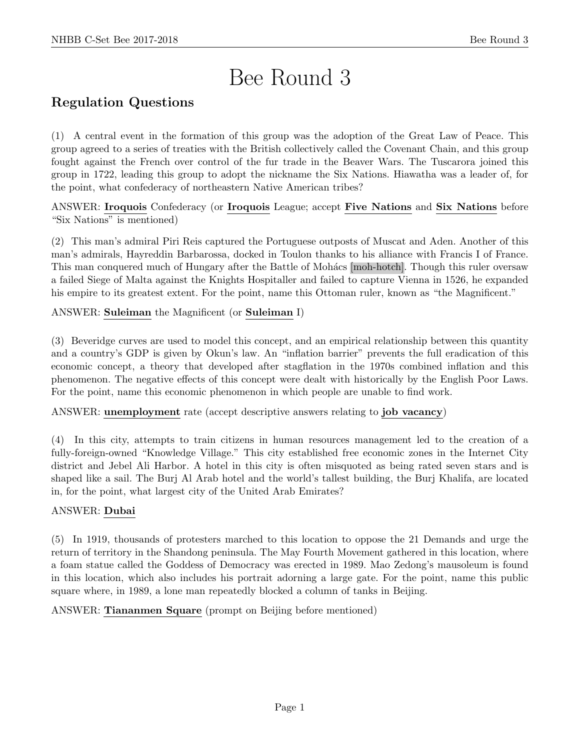# Bee Round 3

# Regulation Questions

(1) A central event in the formation of this group was the adoption of the Great Law of Peace. This group agreed to a series of treaties with the British collectively called the Covenant Chain, and this group fought against the French over control of the fur trade in the Beaver Wars. The Tuscarora joined this group in 1722, leading this group to adopt the nickname the Six Nations. Hiawatha was a leader of, for the point, what confederacy of northeastern Native American tribes?

ANSWER: Iroquois Confederacy (or Iroquois League; accept Five Nations and Six Nations before "Six Nations" is mentioned)

(2) This man's admiral Piri Reis captured the Portuguese outposts of Muscat and Aden. Another of this man's admirals, Hayreddin Barbarossa, docked in Toulon thanks to his alliance with Francis I of France. This man conquered much of Hungary after the Battle of Mohács [moh-hotch]. Though this ruler oversaw a failed Siege of Malta against the Knights Hospitaller and failed to capture Vienna in 1526, he expanded his empire to its greatest extent. For the point, name this Ottoman ruler, known as "the Magnificent."

ANSWER: Suleiman the Magnificent (or Suleiman I)

(3) Beveridge curves are used to model this concept, and an empirical relationship between this quantity and a country's GDP is given by Okun's law. An "inflation barrier" prevents the full eradication of this economic concept, a theory that developed after stagflation in the 1970s combined inflation and this phenomenon. The negative effects of this concept were dealt with historically by the English Poor Laws. For the point, name this economic phenomenon in which people are unable to find work.

ANSWER: unemployment rate (accept descriptive answers relating to job vacancy)

(4) In this city, attempts to train citizens in human resources management led to the creation of a fully-foreign-owned "Knowledge Village." This city established free economic zones in the Internet City district and Jebel Ali Harbor. A hotel in this city is often misquoted as being rated seven stars and is shaped like a sail. The Burj Al Arab hotel and the world's tallest building, the Burj Khalifa, are located in, for the point, what largest city of the United Arab Emirates?

# ANSWER: Dubai

(5) In 1919, thousands of protesters marched to this location to oppose the 21 Demands and urge the return of territory in the Shandong peninsula. The May Fourth Movement gathered in this location, where a foam statue called the Goddess of Democracy was erected in 1989. Mao Zedong's mausoleum is found in this location, which also includes his portrait adorning a large gate. For the point, name this public square where, in 1989, a lone man repeatedly blocked a column of tanks in Beijing.

ANSWER: Tiananmen Square (prompt on Beijing before mentioned)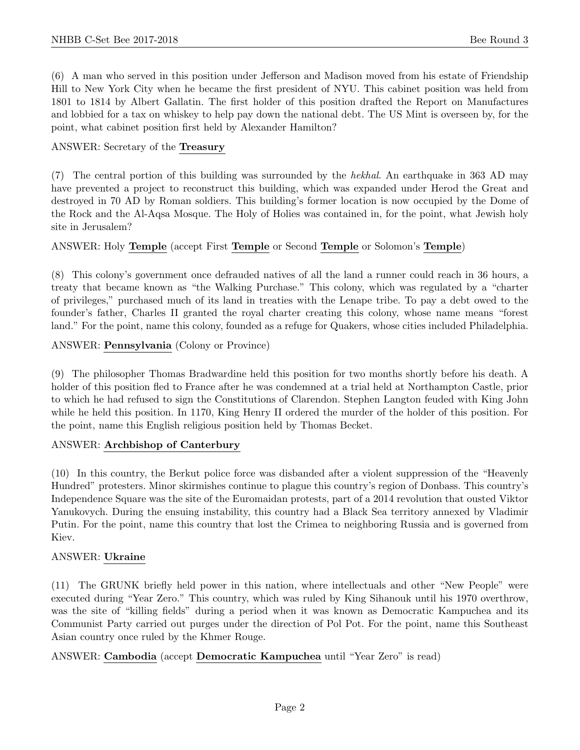(6) A man who served in this position under Jefferson and Madison moved from his estate of Friendship Hill to New York City when he became the first president of NYU. This cabinet position was held from 1801 to 1814 by Albert Gallatin. The first holder of this position drafted the Report on Manufactures and lobbied for a tax on whiskey to help pay down the national debt. The US Mint is overseen by, for the point, what cabinet position first held by Alexander Hamilton?

#### ANSWER: Secretary of the Treasury

(7) The central portion of this building was surrounded by the hekhal. An earthquake in 363 AD may have prevented a project to reconstruct this building, which was expanded under Herod the Great and destroyed in 70 AD by Roman soldiers. This building's former location is now occupied by the Dome of the Rock and the Al-Aqsa Mosque. The Holy of Holies was contained in, for the point, what Jewish holy site in Jerusalem?

# ANSWER: Holy Temple (accept First Temple or Second Temple or Solomon's Temple)

(8) This colony's government once defrauded natives of all the land a runner could reach in 36 hours, a treaty that became known as "the Walking Purchase." This colony, which was regulated by a "charter of privileges," purchased much of its land in treaties with the Lenape tribe. To pay a debt owed to the founder's father, Charles II granted the royal charter creating this colony, whose name means "forest land." For the point, name this colony, founded as a refuge for Quakers, whose cities included Philadelphia.

#### ANSWER: Pennsylvania (Colony or Province)

(9) The philosopher Thomas Bradwardine held this position for two months shortly before his death. A holder of this position fled to France after he was condemned at a trial held at Northampton Castle, prior to which he had refused to sign the Constitutions of Clarendon. Stephen Langton feuded with King John while he held this position. In 1170, King Henry II ordered the murder of the holder of this position. For the point, name this English religious position held by Thomas Becket.

#### ANSWER: Archbishop of Canterbury

(10) In this country, the Berkut police force was disbanded after a violent suppression of the "Heavenly Hundred" protesters. Minor skirmishes continue to plague this country's region of Donbass. This country's Independence Square was the site of the Euromaidan protests, part of a 2014 revolution that ousted Viktor Yanukovych. During the ensuing instability, this country had a Black Sea territory annexed by Vladimir Putin. For the point, name this country that lost the Crimea to neighboring Russia and is governed from Kiev.

# ANSWER: Ukraine

(11) The GRUNK briefly held power in this nation, where intellectuals and other "New People" were executed during "Year Zero." This country, which was ruled by King Sihanouk until his 1970 overthrow, was the site of "killing fields" during a period when it was known as Democratic Kampuchea and its Communist Party carried out purges under the direction of Pol Pot. For the point, name this Southeast Asian country once ruled by the Khmer Rouge.

ANSWER: Cambodia (accept Democratic Kampuchea until "Year Zero" is read)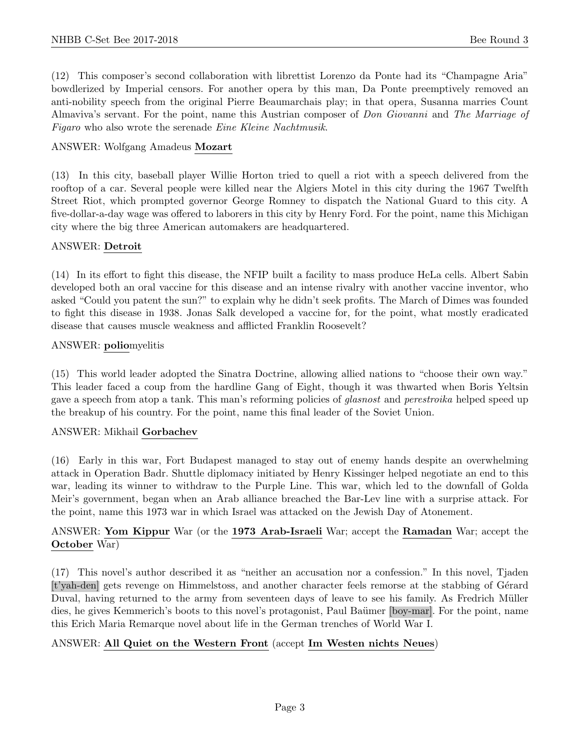(12) This composer's second collaboration with librettist Lorenzo da Ponte had its "Champagne Aria" bowdlerized by Imperial censors. For another opera by this man, Da Ponte preemptively removed an anti-nobility speech from the original Pierre Beaumarchais play; in that opera, Susanna marries Count Almaviva's servant. For the point, name this Austrian composer of Don Giovanni and The Marriage of Figaro who also wrote the serenade Eine Kleine Nachtmusik.

#### ANSWER: Wolfgang Amadeus Mozart

(13) In this city, baseball player Willie Horton tried to quell a riot with a speech delivered from the rooftop of a car. Several people were killed near the Algiers Motel in this city during the 1967 Twelfth Street Riot, which prompted governor George Romney to dispatch the National Guard to this city. A five-dollar-a-day wage was offered to laborers in this city by Henry Ford. For the point, name this Michigan city where the big three American automakers are headquartered.

#### ANSWER: Detroit

(14) In its effort to fight this disease, the NFIP built a facility to mass produce HeLa cells. Albert Sabin developed both an oral vaccine for this disease and an intense rivalry with another vaccine inventor, who asked "Could you patent the sun?" to explain why he didn't seek profits. The March of Dimes was founded to fight this disease in 1938. Jonas Salk developed a vaccine for, for the point, what mostly eradicated disease that causes muscle weakness and afflicted Franklin Roosevelt?

#### ANSWER: poliomyelitis

(15) This world leader adopted the Sinatra Doctrine, allowing allied nations to "choose their own way." This leader faced a coup from the hardline Gang of Eight, though it was thwarted when Boris Yeltsin gave a speech from atop a tank. This man's reforming policies of glasnost and perestroika helped speed up the breakup of his country. For the point, name this final leader of the Soviet Union.

#### ANSWER: Mikhail Gorbachev

(16) Early in this war, Fort Budapest managed to stay out of enemy hands despite an overwhelming attack in Operation Badr. Shuttle diplomacy initiated by Henry Kissinger helped negotiate an end to this war, leading its winner to withdraw to the Purple Line. This war, which led to the downfall of Golda Meir's government, began when an Arab alliance breached the Bar-Lev line with a surprise attack. For the point, name this 1973 war in which Israel was attacked on the Jewish Day of Atonement.

# ANSWER: Yom Kippur War (or the 1973 Arab-Israeli War; accept the Ramadan War; accept the October War)

(17) This novel's author described it as "neither an accusation nor a confession." In this novel, Tjaden [t'yah-den] gets revenge on Himmelstoss, and another character feels remorse at the stabbing of Gérard Duval, having returned to the army from seventeen days of leave to see his family. As Fredrich Müller dies, he gives Kemmerich's boots to this novel's protagonist, Paul Baümer [boy-mar]. For the point, name this Erich Maria Remarque novel about life in the German trenches of World War I.

# ANSWER: All Quiet on the Western Front (accept Im Westen nichts Neues)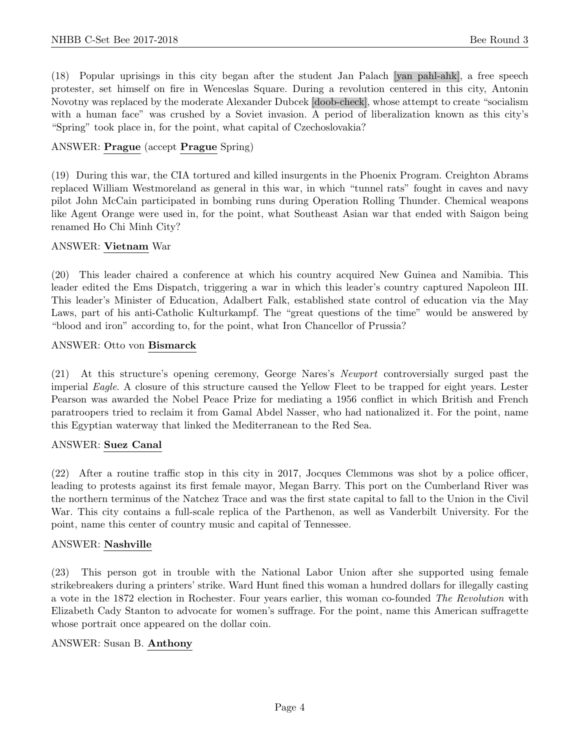(18) Popular uprisings in this city began after the student Jan Palach [yan pahl-ahk], a free speech protester, set himself on fire in Wenceslas Square. During a revolution centered in this city, Antonin Novotny was replaced by the moderate Alexander Dubcek [doob-check], whose attempt to create "socialism with a human face" was crushed by a Soviet invasion. A period of liberalization known as this city's "Spring" took place in, for the point, what capital of Czechoslovakia?

#### ANSWER: Prague (accept Prague Spring)

(19) During this war, the CIA tortured and killed insurgents in the Phoenix Program. Creighton Abrams replaced William Westmoreland as general in this war, in which "tunnel rats" fought in caves and navy pilot John McCain participated in bombing runs during Operation Rolling Thunder. Chemical weapons like Agent Orange were used in, for the point, what Southeast Asian war that ended with Saigon being renamed Ho Chi Minh City?

#### ANSWER: Vietnam War

(20) This leader chaired a conference at which his country acquired New Guinea and Namibia. This leader edited the Ems Dispatch, triggering a war in which this leader's country captured Napoleon III. This leader's Minister of Education, Adalbert Falk, established state control of education via the May Laws, part of his anti-Catholic Kulturkampf. The "great questions of the time" would be answered by "blood and iron" according to, for the point, what Iron Chancellor of Prussia?

#### ANSWER: Otto von Bismarck

(21) At this structure's opening ceremony, George Nares's Newport controversially surged past the imperial Eagle. A closure of this structure caused the Yellow Fleet to be trapped for eight years. Lester Pearson was awarded the Nobel Peace Prize for mediating a 1956 conflict in which British and French paratroopers tried to reclaim it from Gamal Abdel Nasser, who had nationalized it. For the point, name this Egyptian waterway that linked the Mediterranean to the Red Sea.

#### ANSWER: Suez Canal

(22) After a routine traffic stop in this city in 2017, Jocques Clemmons was shot by a police officer, leading to protests against its first female mayor, Megan Barry. This port on the Cumberland River was the northern terminus of the Natchez Trace and was the first state capital to fall to the Union in the Civil War. This city contains a full-scale replica of the Parthenon, as well as Vanderbilt University. For the point, name this center of country music and capital of Tennessee.

# ANSWER: Nashville

(23) This person got in trouble with the National Labor Union after she supported using female strikebreakers during a printers' strike. Ward Hunt fined this woman a hundred dollars for illegally casting a vote in the 1872 election in Rochester. Four years earlier, this woman co-founded The Revolution with Elizabeth Cady Stanton to advocate for women's suffrage. For the point, name this American suffragette whose portrait once appeared on the dollar coin.

#### ANSWER: Susan B. Anthony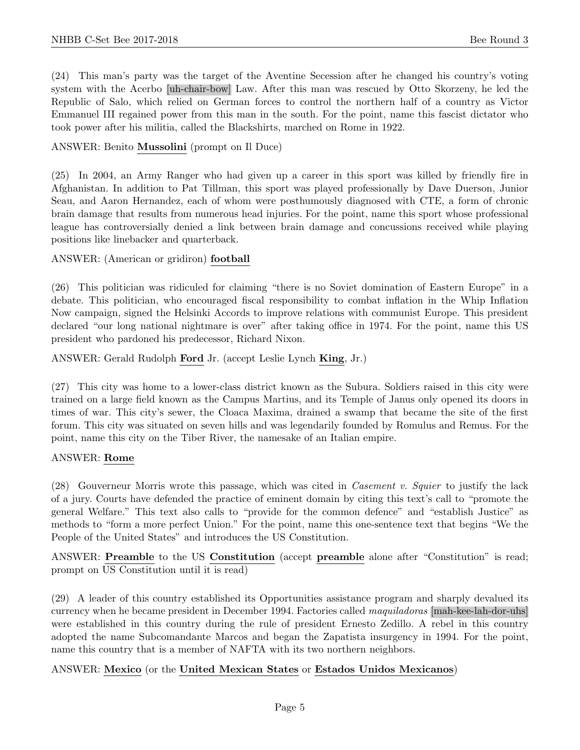(24) This man's party was the target of the Aventine Secession after he changed his country's voting system with the Acerbo [uh-chair-bow] Law. After this man was rescued by Otto Skorzeny, he led the Republic of Salo, which relied on German forces to control the northern half of a country as Victor Emmanuel III regained power from this man in the south. For the point, name this fascist dictator who took power after his militia, called the Blackshirts, marched on Rome in 1922.

#### ANSWER: Benito Mussolini (prompt on Il Duce)

(25) In 2004, an Army Ranger who had given up a career in this sport was killed by friendly fire in Afghanistan. In addition to Pat Tillman, this sport was played professionally by Dave Duerson, Junior Seau, and Aaron Hernandez, each of whom were posthumously diagnosed with CTE, a form of chronic brain damage that results from numerous head injuries. For the point, name this sport whose professional league has controversially denied a link between brain damage and concussions received while playing positions like linebacker and quarterback.

#### ANSWER: (American or gridiron) football

(26) This politician was ridiculed for claiming "there is no Soviet domination of Eastern Europe" in a debate. This politician, who encouraged fiscal responsibility to combat inflation in the Whip Inflation Now campaign, signed the Helsinki Accords to improve relations with communist Europe. This president declared "our long national nightmare is over" after taking office in 1974. For the point, name this US president who pardoned his predecessor, Richard Nixon.

#### ANSWER: Gerald Rudolph Ford Jr. (accept Leslie Lynch King, Jr.)

(27) This city was home to a lower-class district known as the Subura. Soldiers raised in this city were trained on a large field known as the Campus Martius, and its Temple of Janus only opened its doors in times of war. This city's sewer, the Cloaca Maxima, drained a swamp that became the site of the first forum. This city was situated on seven hills and was legendarily founded by Romulus and Remus. For the point, name this city on the Tiber River, the namesake of an Italian empire.

#### ANSWER: Rome

(28) Gouverneur Morris wrote this passage, which was cited in Casement v. Squier to justify the lack of a jury. Courts have defended the practice of eminent domain by citing this text's call to "promote the general Welfare." This text also calls to "provide for the common defence" and "establish Justice" as methods to "form a more perfect Union." For the point, name this one-sentence text that begins "We the People of the United States" and introduces the US Constitution.

ANSWER: Preamble to the US Constitution (accept preamble alone after "Constitution" is read; prompt on US Constitution until it is read)

(29) A leader of this country established its Opportunities assistance program and sharply devalued its currency when he became president in December 1994. Factories called maquiladoras [mah-kee-lah-dor-uhs] were established in this country during the rule of president Ernesto Zedillo. A rebel in this country adopted the name Subcomandante Marcos and began the Zapatista insurgency in 1994. For the point, name this country that is a member of NAFTA with its two northern neighbors.

# ANSWER: Mexico (or the United Mexican States or Estados Unidos Mexicanos)